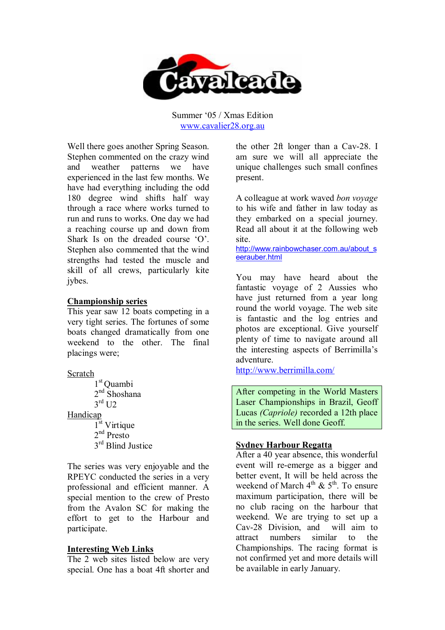

Summer '05 / Xmas Edition www.cavalier28.org.au

Well there goes another Spring Season. Stephen commented on the crazy wind and weather patterns we have experienced in the last few months. We have had everything including the odd 180 degree wind shifts half way through a race where works turned to run and runs to works. One day we had a reaching course up and down from Shark Is on the dreaded course 'O'. Stephen also commented that the wind strengths had tested the muscle and skill of all crews, particularly kite jybes.

## **Championship series**

This year saw 12 boats competing in a very tight series. The fortunes of some boats changed dramatically from one weekend to the other. The final placings were;

Scratch

1 st Quambi 2<sup>nd</sup> Shoshana  $3^{\text{rd}}$  U2

Handicap

1 st Virtique 2<sup>nd</sup> Presto 3<sup>rd</sup> Blind Justice

The series was very enjoyable and the RPEYC conducted the series in a very professional and efficient manner. A special mention to the crew of Presto from the Avalon SC for making the effort to get to the Harbour and participate.

# **Interesting Web Links**

The 2 web sites listed below are very special. One has a boat 4ft shorter and the other 2ft longer than a Cav-28. I am sure we will all appreciate the unique challenges such small confines present.

A colleague at work waved *bon voyage* to his wife and father in law today as they embarked on a special journey. Read all about it at the following web site.

http://www.rainbowchaser.com.au/about\_s eerauber.html

You may have heard about the fantastic voyage of 2 Aussies who have just returned from a year long round the world voyage. The web site is fantastic and the log entries and photos are exceptional. Give yourself plenty of time to navigate around all the interesting aspects of Berrimilla's adventure.

http://www.berrimilla.com/

After competing in the World Masters Laser Championships in Brazil, Geoff Lucas *(Capriole)* recorded a 12th place in the series. Well done Geoff.

# **Sydney Harbour Regatta**

After a 40 year absence, this wonderful event will re-emerge as a bigger and better event, It will be held across the weekend of March  $4^{th}$  &  $5^{th}$ . To ensure maximum participation, there will be no club racing on the harbour that weekend. We are trying to set up a Cav-28 Division, and will aim to attract numbers similar to the Championships. The racing format is not confirmed yet and more details will be available in early January.